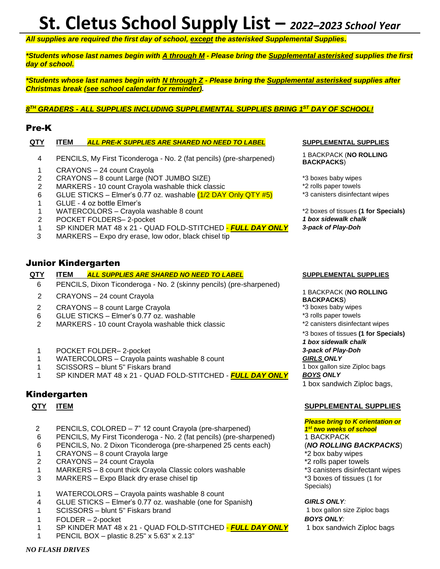## **St. Cletus School Supply List –** *<sup>2022</sup>–<sup>2023</sup> School Year*

*All supplies are required the first day of school, except the asterisked Supplemental Supplies.*

*\*Students whose last names begin with A through M - Please bring the Supplemental asterisked supplies the first day of school.*

*\*Students whose last names begin with N through Z - Please bring the Supplemental asterisked supplies after Christmas break (see school calendar for reminder).*

### *8 TH GRADERS - ALL SUPPLIES INCLUDING SUPPLEMENTAL SUPPLIES BRING 1 ST DAY OF SCHOOL!*

### Pre-K

### **QTY ITEM** *ALL PRE-K SUPPLIES ARE SHARED NO NEED TO LABEL* **SUPPLEMENTAL SUPPLIES**

- 4 PENCILS, My First Ticonderoga No. 2 (fat pencils) (pre-sharpened)
- 1 CRAYONS 24 count Crayola
- 2 CRAYONS 8 count Large (NOT JUMBO SIZE) **120 CRAYONS** + 3 boxes baby wipes
- 2 MARKERS 10 count Crayola washable thick classic **the example 2** rolls paper towels
- 6 GLUE STICKS – Elmer's 0.77 oz. washable (1/2 DAY Only QTY #5)
- 1 GLUE - 4 oz bottle Elmer's
- 1 WATERCOLORS Crayola washable 8 count \*2 boxes of tissues **(1 for Specials)**
- 2 POCKET FOLDERS– 2-pocket *1 box sidewalk chalk*
- 1 SP KINDER MAT 48 x 21 QUAD FOLD-STITCHED *FULL DAY ONLY 3-pack of Play-Doh*
- 3 MARKERS Expo dry erase, low odor, black chisel tip

### Junior Kindergarten

### **QTY ITEM** *ALL SUPPLIES ARE SHARED NO NEED TO LABEL* **SUPPLEMENTAL SUPPLIES**

- 6 PENCILS, Dixon Ticonderoga No. 2 (skinny pencils) (pre-sharpened)
- <sup>2</sup> CRAYONS 24 count Crayola 1 BACKPACK (**NO ROLLING**
- 2 CRAYONS 8 count Large Crayola **by CRAYONS** 8 count Large Crayola
- 
- 6 GLUE STICKS Elmer's 0.77 oz. washable \*3 rolls paper towels 2 MARKERS - 10 count Crayola washable thick classic
- 1 POCKET FOLDER– 2-pocket *3-pack of Play-Doh*
- 1 MATERCOLORS Crayola paints washable 8 count *GIRLS ONLY*<br>1 SCISSORS blunt 5" Fiskars brand *formation of the GISSORS* extending the SCISSORS blunt 5" Fiskars brand
- 1 SCISSORS blunt 5" Fiskars brand
- 1 SP KINDER MAT 48 x 21 QUAD FOLD-STITCHED *FULL DAY ONLY BOYS ONLY*

### Kindergarten

- 2 PENCILS, COLORED 7" 12 count Crayola (pre-sharpened)
- 6 PENCILS, My First Ticonderoga No. 2 (fat pencils) (pre-sharpened) 1 BACKPACK
- 6 PENCILS, No. 2 Dixon Ticonderoga (pre-sharpened 25 cents each) (*NO ROLLING BACKPACKS*)
- 1 CRAYONS 8 count Crayola large the state of the state of the state of the state of the SRA baby wipes
- 
- 2 CRAYONS 24 count Crayola<br>
2 CRAYONS 24 count thick Crayola Classic colors washable<br>
<sup>2</sup> Canisters disinfectant wipes 1 MARKERS – 8 count thick Crayola Classic colors washable
- 3 MARKERS Expo Black dry erase chisel tip \*3 boxes of tissues (1 for
- 1 WATERCOLORS Crayola paints washable 8 count
- 4 GLUE STICKS Elmer's 0.77 oz. washable (one for Spanish**)** *GIRLS ONLY:*
- 1 SCISSORS blunt 5" Fiskars brand 1 box gallon size Ziploc bags
- 1 FOLDER 2-pocket *BOYS ONLY:*
- 1 SP KINDER MAT 48 x 21 QUAD FOLD-STITCHED *FULL DAY ONLY* 1 box sandwich Ziploc bags
- 1 PENCIL BOX plastic 8.25" x 5.63" x 2.13"

1 BACKPACK (**NO ROLLING BACKPACKS**)

\*3 canisters disinfectant wipes

**BACKPACKS**)

\*3 boxes of tissues **(1 for Specials)** *1 box sidewalk chalk*

1 box sandwich Ziploc bags,

### **QTY ITEM SUPPLEMENTAL SUPPLIES**

### *Please bring to K orientation or 1 st two weeks of school*

- 
- 
- 
- Specials)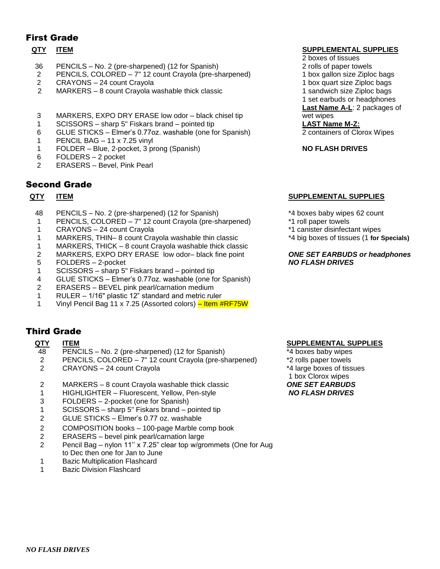### First Grade

- 36 PENCILS No. 2 (pre-sharpened) (12 for Spanish) 2 rolls of paper towels
- 2 PENCILS, COLORED 7" 12 count Crayola (pre-sharpened) 1 box gallon size Ziploc bags<br>2 CRAYONS 24 count Crayola
- 2 CRAYONS 24 count Crayola<br>2 MARKERS 8 count Crayola v
- MARKERS 8 count Crayola washable thick classic 1 sandwich size Ziploc bags
- 3 MARKERS, EXPO DRY ERASE low odor black chisel tip wet wipes
- 1 SCISSORS sharp 5" Fiskars brand pointed tip **LAST Name M-Z:**
- 6 GLUE STICKS Elmer's 0.77oz. washable (one for Spanish) 2 containers of Clorox Wipes
- 1 PENCIL BAG 11 x 7.25 vinyl
- 1 FOLDER Blue, 2-pocket, 3 prong (Spanish) **NO FLASH DRIVES**
- 6 FOLDERS 2 pocket
- 2 ERASERS Bevel, Pink Pearl

### Second Grade

- 48 PENCILS No. 2 (pre-sharpened) (12 for Spanish)  $*4$  boxes baby wipes 62 count<br>1 PENCILS, COLORED 7" 12 count Crayola (pre-sharpened) \*1 roll paper towels
- 1 PENCILS, COLORED 7" 12 count Crayola (pre-sharpened)
- 1 CRAYONS 24 count Crayola \*1 canister disinfectant wipes
- 1 MARKERS, THIN– 8 count Crayola washable thin classic \*4 big boxes of tissues (1 **for Specials)**
- 1 MARKERS, THICK 8 count Crayola washable thick classic
- 2 MARKERS, EXPO DRY ERASE low odor– black fine point *ONE SET EARBUDS or headphones*
- 5 FOLDERS 2-pocket *NO FLASH DRIVES*
- 1 SCISSORS sharp 5" Fiskars brand pointed tip
- 4 GLUE STICKS Elmer's 0.77oz. washable (one for Spanish)
- 2 ERASERS BEVEL pink pearl/carnation medium
- 1 RULER 1/16" plastic 12" standard and metric ruler
- 1 Vinyl Pencil Bag 11 x 7.25 (Assorted colors) Item #RF75W

### Third Grade

- 48 PENCILS No. 2 (pre-sharpened) (12 for Spanish) \*4 boxes baby wipes
- 2 PENCILS, COLORED 7" 12 count Crayola (pre-sharpened) \*2 rolls paper towels
- 2 CRAYONS 24 count Crayola \*4 large boxes of tissues
- 2 MARKERS 8 count Crayola washable thick classic *ONE SET EARBUDS*
- 1 HIGHLIGHTER Fluorescent, Yellow, Pen-style *NO FLASH DRIVES*
- 3 FOLDERS 2-pocket (one for Spanish)
- 1 SCISSORS sharp 5" Fiskars brand pointed tip
- 2 GLUE STICKS Elmer's 0.77 oz. washable
- 2 COMPOSITION books 100-page Marble comp book
- 2 ERASERS bevel pink pearl/carnation large
- 2 Pencil Bag nylon 11'' x 7.25" clear top w/grommets (One for Aug to Dec then one for Jan to June
- 1 Bazic Multiplication Flashcard
- 1 Bazic Division Flashcard

### **QTY ITEM ITEM**

- 2 boxes of tissues
- 
- 
- 
- 
- 1 set earbuds or headphones
- **Last Name A-L**: 2 packages of

### **QTY ITEM SUPPLEMENTAL SUPPLIES**

- 
- 
- 
- 

### **QTY ITEM SUPPLEMENTAL SUPPLIES**

- 
- 
- 
- 1 box Clorox wipes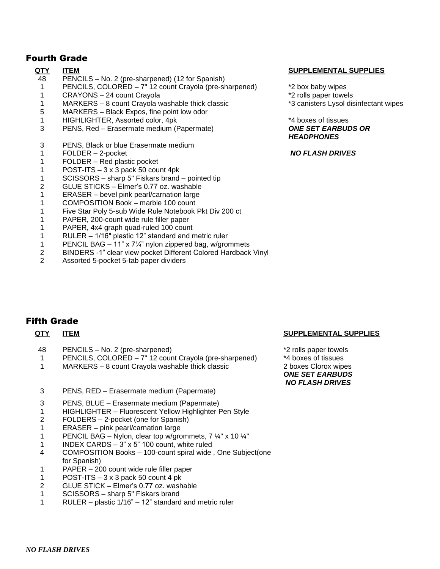### Fourth Grade

- PENCILS No. 2 (pre-sharpened) (12 for Spanish)
- PENCILS, COLORED 7" 12 count Crayola (pre-sharpened) \*2 box baby wipes
- 1 CRAYONS 24 count Crayola **1** CRAYONS 24 count Crayola
- MARKERS 8 count Crayola washable thick classic \*3 canisters Lysol disinfectant wipes
- MARKERS Black Expos, fine point low odor
- HIGHLIGHTER, Assorted color, 4pk \*4 boxes of tissues
- PENS, Red Erasermate medium (Papermate) *ONE SET EARBUDS OR*
- PENS, Black or blue Erasermate medium
- FOLDER 2-pocket *NO FLASH DRIVES*
- FOLDER Red plastic pocket
- POST-ITS 3 x 3 pack 50 count 4pk
- SCISSORS sharp 5" Fiskars brand pointed tip
- GLUE STICKS Elmer's 0.77 oz. washable
- ERASER bevel pink pearl/carnation large
- COMPOSITION Book marble 100 count
- Five Star Poly 5-sub Wide Rule Notebook Pkt Div 200 ct
- PAPER, 200-count wide rule filler paper
- PAPER, 4x4 graph quad-ruled 100 count
- RULER 1/16" plastic 12" standard and metric ruler
- PENCIL BAG – 11" x 7¼" nylon zippered bag, w/grommets
- BINDERS -1" clear view pocket Different Colored Hardback Vinyl
- Assorted 5-pocket 5-tab paper dividers

### **QTY ITEM SUPPLEMENTAL SUPPLIES**

- 
- 
- 

# *HEADPHONES*

### Fifth Grade

- 
- 48 PENCILS No. 2 (pre-sharpened) <br>1 PENCILS. COLORED 7" 12 count Cravola (pre-sharpened) \*4 boxes of tissues 1 PENCILS, COLORED –  $7"$  12 count Crayola (pre-sharpened)
- MARKERS 8 count Crayola washable thick classic 2 boxes Clorox wipes
- PENS, RED Erasermate medium (Papermate)
- PENS, BLUE Erasermate medium (Papermate)
- HIGHLIGHTER Fluorescent Yellow Highlighter Pen Style
- FOLDERS 2-pocket (one for Spanish)
- ERASER pink pearl/carnation large
- 1 PENCIL BAG Nylon, clear top w/grommets,  $7\frac{1}{4}$ " x 10  $\frac{1}{4}$ "
- INDEX CARDS 3" x 5" 100 count, white ruled
- COMPOSITION Books 100-count spiral wide , One Subject(one for Spanish)
- PAPER 200 count wide rule filler paper
- POST-ITS 3 x 3 pack 50 count 4 pk
- GLUE STICK Elmer's 0.77 oz. washable
- SCISSORS sharp 5" Fiskars brand
- RULER plastic 1/16" 12" standard and metric ruler

### **QTY ITEM SUPPLEMENTAL SUPPLIES**

*ONE SET EARBUDS NO FLASH DRIVES*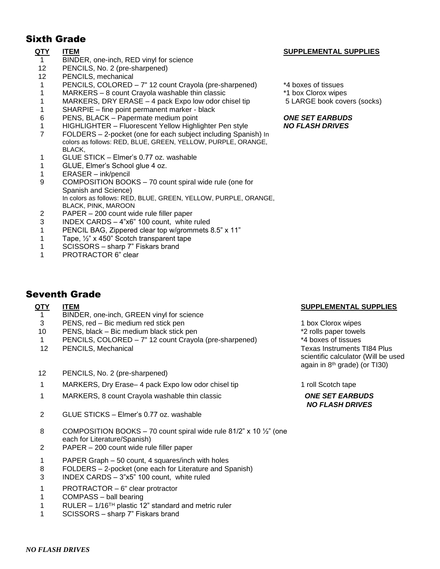### Sixth Grade

- 1 BINDER, one-inch, RED vinyl for science
- 12 PENCILS, No. 2 (pre-sharpened)
- 12 PENCILS, mechanical
- 1 PENCILS, COLORED 7" 12 count Crayola (pre-sharpened) \*4 boxes of tissues
- 1 MARKERS 8 count Crayola washable thin classic \*1 box Clorox wipes
- 1 MARKERS, DRY ERASE 4 pack Expo low odor chisel tip 5 LARGE book covers (socks)
- 1 SHARPIE fine point permanent marker black
- 6 PENS, BLACK Papermate medium point *ONE SET EARBUDS*
- 1 HIGHLIGHTER Fluorescent Yellow Highlighter Pen style *NO FLASH DRIVES*
- 7 FOLDERS 2-pocket (one for each subject including Spanish) In colors as follows: RED, BLUE, GREEN, YELLOW, PURPLE, ORANGE, BLACK,
- 1 GLUE STICK Elmer's 0.77 oz. washable
- 1 GLUE, Elmer's School glue 4 oz.
- 1 ERASER ink/pencil
- 9 COMPOSITION BOOKS 70 count spiral wide rule (one for Spanish and Science) In colors as follows: RED, BLUE, GREEN, YELLOW, PURPLE, ORANGE, BLACK, PINK, MAROON
- 2 PAPER 200 count wide rule filler paper
- 3 INDEX CARDS 4"x6" 100 count, white ruled
- 1 PENCIL BAG, Zippered clear top w/grommets 8.5" x 11"
- 1 Tape, ½" x 450" Scotch transparent tape
- 1 SCISSORS sharp 7" Fiskars brand
- 1 PROTRACTOR 6" clear

### Seventh Grade

- 1 BINDER, one-inch, GREEN vinyl for science
- 
- 3 PENS, red Bic medium red stick pen 1 box Clorox wipes<br>10 PENS, black Bic medium black stick pen 1 box 2 colls paper towels
- 10 PENS, black Bic medium black stick pen  $*2$  rolls paper towel<br>1 PENCILS. COLORED 7" 12 count Cravola (pre-sharpened) \*\*\* 4 boxes of tissues 1 PENCILS, COLORED –  $7"$  12 count Crayola (pre-sharpened)
- 12 PENCILS, Mechanical **Texas Instruments TI84 Plus** Texas Instruments TI84 Plus
- 12 PENCILS, No. 2 (pre-sharpened)
- 1 MARKERS, Dry Erase– 4 pack Expo low odor chisel tip 1 roll Scotch tape
- 1 MARKERS, 8 count Crayola washable thin classic *ONE SET EARBUDS*
- 2 GLUE STICKS Elmer's 0.77 oz. washable
- 8 COMPOSITION BOOKS 70 count spiral wide rule  $81/2$ " x 10  $\frac{1}{2}$ " (one each for Literature/Spanish)
- 2 PAPER 200 count wide rule filler paper
- 1 PAPER Graph 50 count, 4 squares/inch with holes
- 8 FOLDERS 2-pocket (one each for Literature and Spanish)
- 3 INDEX CARDS 3"x5" 100 count, white ruled
- 1 PROTRACTOR 6" clear protractor
- 1 COMPASS ball bearing
- 1 RULER  $1/16^{TH}$  plastic 12" standard and metric ruler
- 1 SCISSORS sharp 7" Fiskars brand

### **QTY ITEM SUPPLEMENTAL SUPPLIES**

- 
- 
- 

### **QTY ITEM SUPPLEMENTAL SUPPLIES**

scientific calculator (Will be used again in 8th grade) (or TI30)

## *NO FLASH DRIVES*